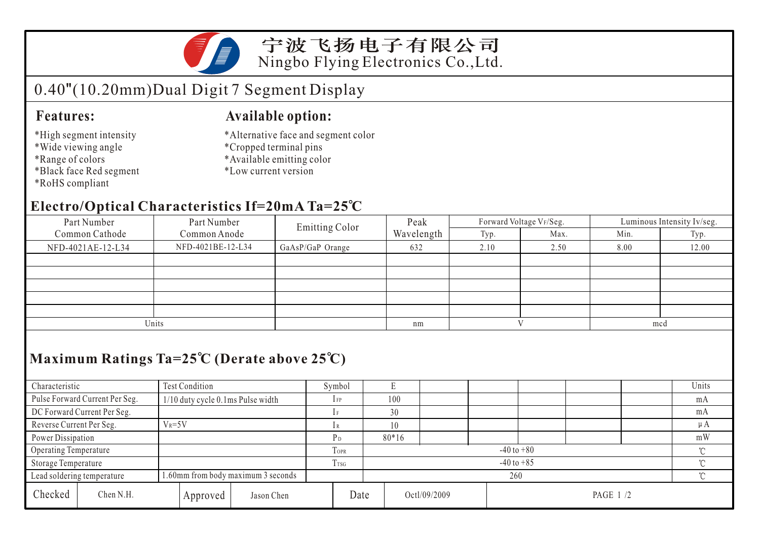

宁波飞扬电子有限公司 Ningbo Flying Electronics Co.,Ltd.

# 0.40"(10.20mm)Dual Digit 7 Segment Display

### **Features:**

- \*High segment intensity
- \*Wide viewing angle
- \*Range of colors
- \*Black face Red segment
- \*RoHS compliant

### **Available option:**

- \*Alternative face and segment color
- \*Cropped terminal pins
- \*Available emitting color
- \*Low current version

## **Electro/Optical Characteristics If=20mA Ta=25 C**

| $\overline{\phantom{a}}$ |                   |                       |            |              |                         |                            |       |  |  |  |  |  |  |
|--------------------------|-------------------|-----------------------|------------|--------------|-------------------------|----------------------------|-------|--|--|--|--|--|--|
| Part Number              | Part Number       | <b>Emitting Color</b> | Peak       |              | Forward Voltage VF/Seg. | Luminous Intensity Iv/seg. |       |  |  |  |  |  |  |
| Common Cathode           | Common Anode      |                       | Wavelength | Typ.         | Max.                    | Min.                       | Typ.  |  |  |  |  |  |  |
| NFD-4021AE-12-L34        | NFD-4021BE-12-L34 | GaAsP/GaP Orange      | 632        | 2.10         | 2.50                    | 8.00                       | 12.00 |  |  |  |  |  |  |
|                          |                   |                       |            |              |                         |                            |       |  |  |  |  |  |  |
|                          |                   |                       |            |              |                         |                            |       |  |  |  |  |  |  |
|                          |                   |                       |            |              |                         |                            |       |  |  |  |  |  |  |
|                          |                   |                       |            |              |                         |                            |       |  |  |  |  |  |  |
|                          |                   |                       |            |              |                         |                            |       |  |  |  |  |  |  |
|                          | Units             |                       | nm         | $\mathbf{V}$ |                         | mcd                        |       |  |  |  |  |  |  |

## **Maximum Ratings Ta=25 C (Derate above 25 C)**

| Characteristic                                                   |                                | Test Condition                    |             |                | Symbol  |                          |     |  |  |   |  |  |    | Units   |
|------------------------------------------------------------------|--------------------------------|-----------------------------------|-------------|----------------|---------|--------------------------|-----|--|--|---|--|--|----|---------|
|                                                                  | Pulse Forward Current Per Seg. | 1/10 duty cycle 0.1ms Pulse width |             |                | $1$ FP  |                          | 100 |  |  |   |  |  |    | mA      |
|                                                                  | DC Forward Current Per Seg.    |                                   |             |                |         | 30                       |     |  |  |   |  |  |    | mA      |
| Reverse Current Per Seg.                                         |                                | $V_R = 5V$                        |             |                |         |                          |     |  |  |   |  |  |    | $\mu A$ |
| Power Dissipation                                                |                                |                                   |             |                | $80*16$ |                          |     |  |  |   |  |  | mW |         |
| Operating Temperature                                            |                                |                                   | <b>TOPR</b> | $-40$ to $+80$ |         |                          |     |  |  |   |  |  |    |         |
| Storage Temperature                                              |                                | I TSG                             |             | $-40$ to $+85$ |         |                          |     |  |  | ∽ |  |  |    |         |
| 1.60mm from body maximum 3 seconds<br>Lead soldering temperature |                                |                                   |             | 260            |         |                          |     |  |  |   |  |  |    |         |
| Checked                                                          | Chen N.H.                      |                                   | Approved    | Jason Chen     | Date    | Octl/09/2009<br>PAGE 1/2 |     |  |  |   |  |  |    |         |